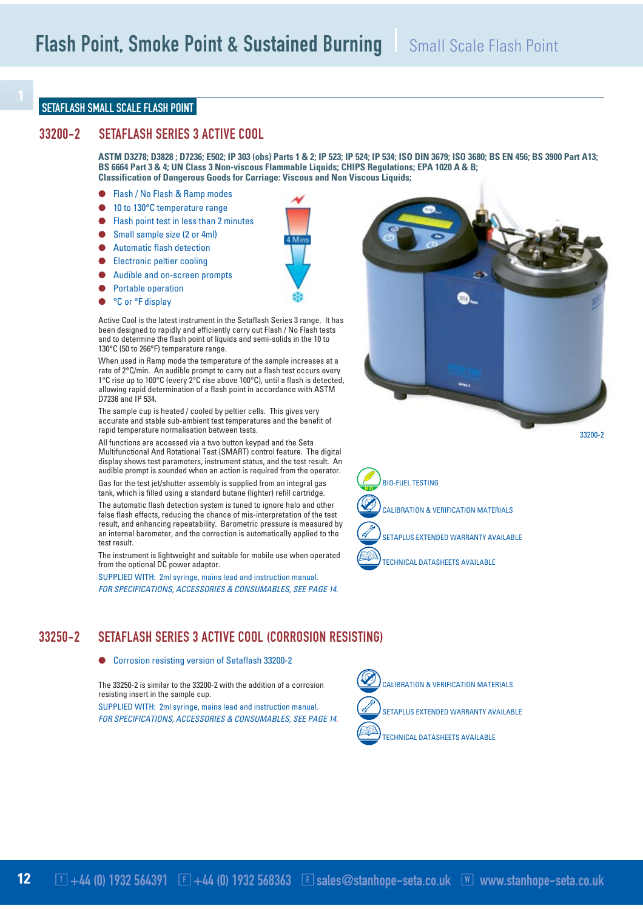#### SETAFLASH SMALL SCALE FLASH POINT

### 33200-2 SETAFLASH SERIES 3 ACTIVE COOL

**ASTM D3278; D3828 ; D7236; E502; IP 303 (obs) Parts 1 & 2; IP 523; IP 524; IP 534; ISO DIN 3679; ISO 3680; BS EN 456; BS 3900 Part A13; BS 6664 Part 3 & 4; UN Class 3 Non-viscous Flammable Liquids; CHIPS Regulations; EPA 1020 A & B; Classification of Dangerous Goods for Carriage: Viscous and Non Viscous Liquids;** 

- Flash / No Flash & Ramp modes
- 10 to 130°C temperature range
- Flash point test in less than 2 minutes
- Small sample size (2 or 4ml)
- Automatic flash detection
- Electronic peltier cooling
- Audible and on-screen prompts
- Portable operation
- °C or °F display



Active Cool is the latest instrument in the Setaflash Series 3 range. It has been designed to rapidly and efficiently carry out Flash / No Flash tests and to determine the flash point of liquids and semi-solids in the 10 to 130°C (50 to 266°F) temperature range.

When used in Ramp mode the temperature of the sample increases at a rate of 2°C/min. An audible prompt to carry out a flash test occurs every 1°C rise up to 100°C (every 2°C rise above 100°C), until a flash is detected, allowing rapid determination of a flash point in accordance with ASTM D7236 and IP 534.

The sample cup is heated / cooled by peltier cells. This gives very accurate and stable sub-ambient test temperatures and the benefit of rapid temperature normalisation between tests.

All functions are accessed via a two button keypad and the Seta Multifunctional And Rotational Test (SMART) control feature. The digital display shows test parameters, instrument status, and the test result. An audible prompt is sounded when an action is required from the operator.

Gas for the test jet/shutter assembly is supplied from an integral gas tank, which is filled using a standard butane (lighter) refill cartridge.

The automatic flash detection system is tuned to ignore halo and other false flash effects, reducing the chance of mis-interpretation of the test result, and enhancing repeatability. Barometric pressure is measured by an internal barometer, and the correction is automatically applied to the test result.

The instrument is lightweight and suitable for mobile use when operated from the optional DC power adaptor.

SUPPLIED WITH: 2ml syringe, mains lead and instruction manual. *FOR SPECIFICATIONS, ACCESSORIES & CONSUMABLES, SEE PAGE 14.*



#### ● Corrosion resisting version of Setaflash 33200-2

The 33250-2 is similar to the 33200-2 with the addition of a corrosion resisting insert in the sample cup.

SUPPLIED WITH: 2ml syringe, mains lead and instruction manual. *FOR SPECIFICATIONS, ACCESSORIES & CONSUMABLES, SEE PAGE 14.*





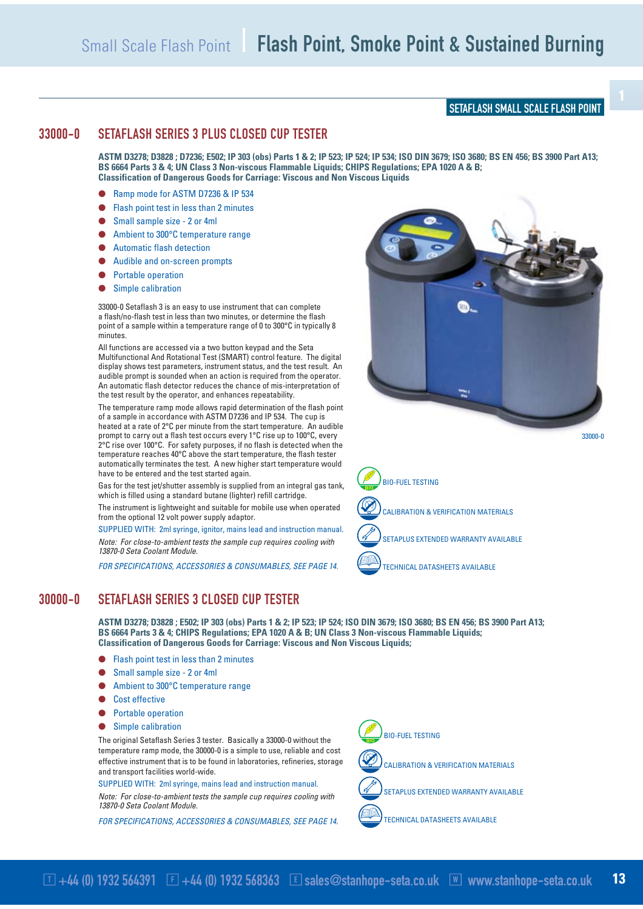### SETAFLASH SMALL SCALE FLASH POINT

# 33000-0 SETAFLASH SERIES 3 PLUS CLOSED CUP TESTER

**ASTM D3278; D3828 ; D7236; E502; IP 303 (obs) Parts 1 & 2; IP 523; IP 524; IP 534; ISO DIN 3679; ISO 3680; BS EN 456; BS 3900 Part A13; BS 6664 Parts 3 & 4; UN Class 3 Non-viscous Flammable Liquids; CHIPS Regulations; EPA 1020 A & B; Classification of Dangerous Goods for Carriage: Viscous and Non Viscous Liquids**

- Ramp mode for ASTM D7236 & IP 534
- Flash point test in less than 2 minutes
- Small sample size 2 or 4ml
- Ambient to 300°C temperature range
- Automatic flash detection
- Audible and on-screen prompts
- Portable operation
- Simple calibration

33000-0 Setaflash 3 is an easy to use instrument that can complete a flash/no-flash test in less than two minutes, or determine the flash point of a sample within a temperature range of 0 to 300°C in typically 8 minutes.

All functions are accessed via a two button keypad and the Seta Multifunctional And Rotational Test (SMART) control feature. The digital display shows test parameters, instrument status, and the test result. An audible prompt is sounded when an action is required from the operator. An automatic flash detector reduces the chance of mis-interpretation of the test result by the operator, and enhances repeatability.

The temperature ramp mode allows rapid determination of the flash point of a sample in accordance with ASTM D7236 and IP 534. The cup is heated at a rate of 2°C per minute from the start temperature. An audible prompt to carry out a flash test occurs every 1°C rise up to 100°C, every 2°C rise over 100°C. For safety purposes, if no flash is detected when the temperature reaches 40°C above the start temperature, the flash tester automatically terminates the test. A new higher start temperature would have to be entered and the test started again.

Gas for the test jet/shutter assembly is supplied from an integral gas tank, which is filled using a standard butane (lighter) refill cartridge.

The instrument is lightweight and suitable for mobile use when operated from the optional 12 volt power supply adaptor.

SUPPLIED WITH: 2ml syringe, ignitor, mains lead and instruction manual. *Note: For close-to-ambient tests the sample cup requires cooling with 13870-0 Seta Coolant Module.*

*FOR SPECIFICATIONS, ACCESSORIES & CONSUMABLES, SEE PAGE 14.*





## 30000-0 SETAFLASH SERIES 3 CLOSED CUP TESTER

**ASTM D3278; D3828 ; E502; IP 303 (obs) Parts 1 & 2; IP 523; IP 524; ISO DIN 3679; ISO 3680; BS EN 456; BS 3900 Part A13; BS 6664 Parts 3 & 4; CHIPS Regulations; EPA 1020 A & B; UN Class 3 Non-viscous Flammable Liquids; Classification of Dangerous Goods for Carriage: Viscous and Non Viscous Liquids;** 

- Flash point test in less than 2 minutes
- Small sample size 2 or 4ml
- Ambient to 300°C temperature range
- Cost effective
- Portable operation
- Simple calibration

The original Setaflash Series 3 tester. Basically a 33000-0 without the temperature ramp mode, the 30000-0 is a simple to use, reliable and cost effective instrument that is to be found in laboratories, refineries, storage and transport facilities world-wide.

SUPPLIED WITH: 2ml syringe, mains lead and instruction manual.

*Note: For close-to-ambient tests the sample cup requires cooling with 13870-0 Seta Coolant Module.*

*FOR SPECIFICATIONS, ACCESSORIES & CONSUMABLES, SEE PAGE 14.*





CALIBRATION & VERIFICATION MATERIALS

SETAPLUS EXTENDED WARRANTY AVAILABLE



TECHNICAL DATASHEETS AVAILABLE